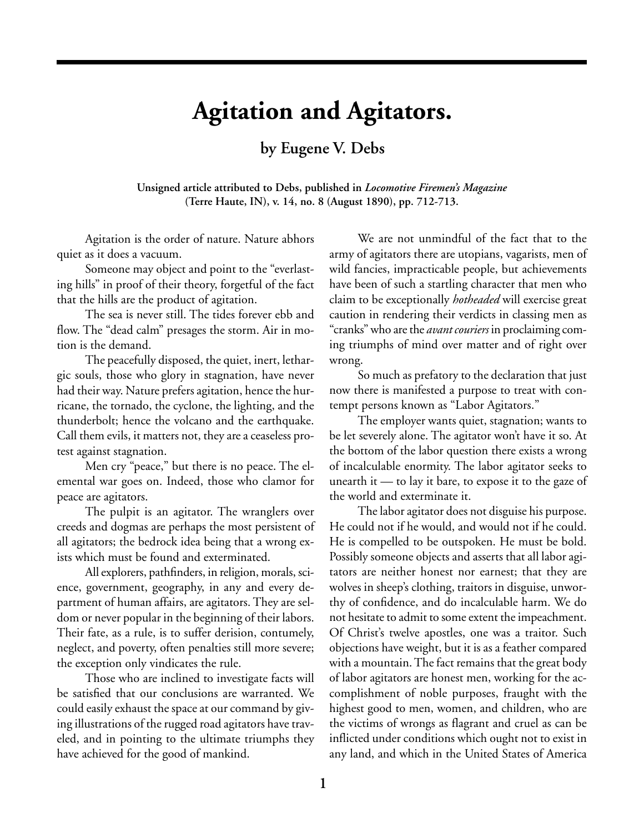## **Agitation and Agitators.**

## **by Eugene V. Debs**

**Unsigned article attributed to Debs, published in** *Locomotive Firemen's Magazine* **(Terre Haute, IN), v. 14, no. 8 (August 1890), pp. 712-713.**

Agitation is the order of nature. Nature abhors quiet as it does a vacuum.

Someone may object and point to the "everlasting hills" in proof of their theory, forgetful of the fact that the hills are the product of agitation.

The sea is never still. The tides forever ebb and flow. The "dead calm" presages the storm. Air in motion is the demand.

The peacefully disposed, the quiet, inert, lethargic souls, those who glory in stagnation, have never had their way. Nature prefers agitation, hence the hurricane, the tornado, the cyclone, the lighting, and the thunderbolt; hence the volcano and the earthquake. Call them evils, it matters not, they are a ceaseless protest against stagnation.

Men cry "peace," but there is no peace. The elemental war goes on. Indeed, those who clamor for peace are agitators.

The pulpit is an agitator. The wranglers over creeds and dogmas are perhaps the most persistent of all agitators; the bedrock idea being that a wrong exists which must be found and exterminated.

All explorers, pathfinders, in religion, morals, science, government, geography, in any and every department of human affairs, are agitators. They are seldom or never popular in the beginning of their labors. Their fate, as a rule, is to suffer derision, contumely, neglect, and poverty, often penalties still more severe; the exception only vindicates the rule.

Those who are inclined to investigate facts will be satisfied that our conclusions are warranted. We could easily exhaust the space at our command by giving illustrations of the rugged road agitators have traveled, and in pointing to the ultimate triumphs they have achieved for the good of mankind.

We are not unmindful of the fact that to the army of agitators there are utopians, vagarists, men of wild fancies, impracticable people, but achievements have been of such a startling character that men who claim to be exceptionally *hotheaded* will exercise great caution in rendering their verdicts in classing men as "cranks" who are the *avant couriers* in proclaiming coming triumphs of mind over matter and of right over wrong.

So much as prefatory to the declaration that just now there is manifested a purpose to treat with contempt persons known as "Labor Agitators."

The employer wants quiet, stagnation; wants to be let severely alone. The agitator won't have it so. At the bottom of the labor question there exists a wrong of incalculable enormity. The labor agitator seeks to unearth it  $-$  to lay it bare, to expose it to the gaze of the world and exterminate it.

The labor agitator does not disguise his purpose. He could not if he would, and would not if he could. He is compelled to be outspoken. He must be bold. Possibly someone objects and asserts that all labor agitators are neither honest nor earnest; that they are wolves in sheep's clothing, traitors in disguise, unworthy of confidence, and do incalculable harm. We do not hesitate to admit to some extent the impeachment. Of Christ's twelve apostles, one was a traitor. Such objections have weight, but it is as a feather compared with a mountain. The fact remains that the great body of labor agitators are honest men, working for the accomplishment of noble purposes, fraught with the highest good to men, women, and children, who are the victims of wrongs as flagrant and cruel as can be inflicted under conditions which ought not to exist in any land, and which in the United States of America